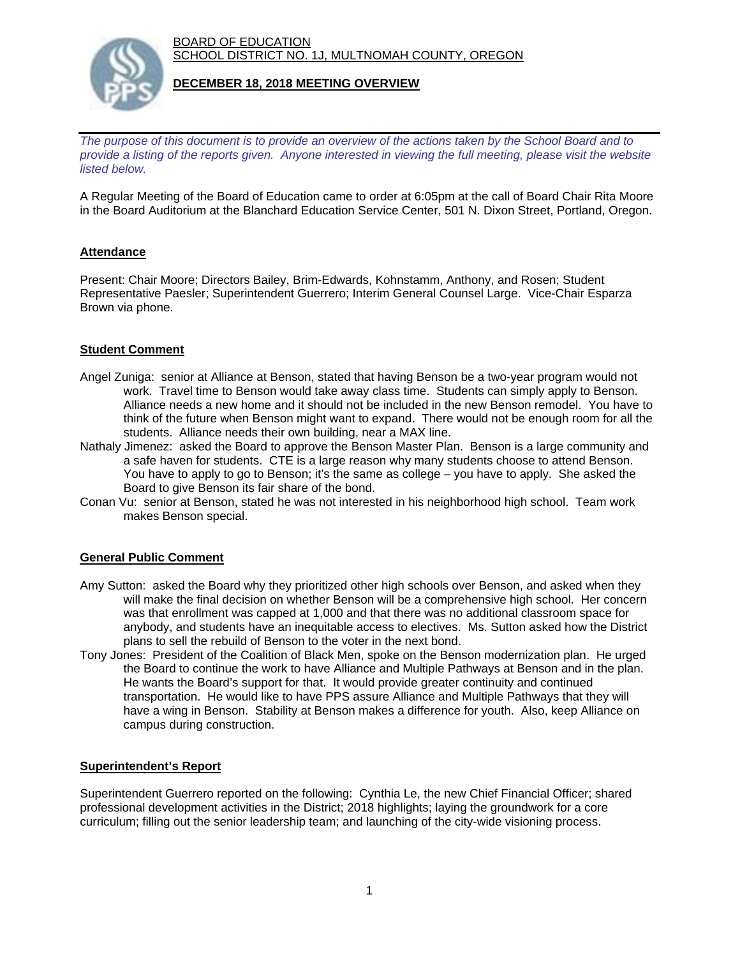BOARD OF EDUCATION SCHOOL DISTRICT NO. 1J, MULTNOMAH COUNTY, OREGON



## **DECEMBER 18, 2018 MEETING OVERVIEW**

*The purpose of this document is to provide an overview of the actions taken by the School Board and to provide a listing of the reports given. Anyone interested in viewing the full meeting, please visit the website listed below.*

A Regular Meeting of the Board of Education came to order at 6:05pm at the call of Board Chair Rita Moore in the Board Auditorium at the Blanchard Education Service Center, 501 N. Dixon Street, Portland, Oregon.

# **Attendance**

Present: Chair Moore; Directors Bailey, Brim-Edwards, Kohnstamm, Anthony, and Rosen; Student Representative Paesler; Superintendent Guerrero; Interim General Counsel Large. Vice-Chair Esparza Brown via phone.

## **Student Comment**

- Angel Zuniga: senior at Alliance at Benson, stated that having Benson be a two-year program would not work. Travel time to Benson would take away class time. Students can simply apply to Benson. Alliance needs a new home and it should not be included in the new Benson remodel. You have to think of the future when Benson might want to expand. There would not be enough room for all the students. Alliance needs their own building, near a MAX line.
- Nathaly Jimenez: asked the Board to approve the Benson Master Plan. Benson is a large community and a safe haven for students. CTE is a large reason why many students choose to attend Benson. You have to apply to go to Benson; it's the same as college – you have to apply. She asked the Board to give Benson its fair share of the bond.
- Conan Vu: senior at Benson, stated he was not interested in his neighborhood high school. Team work makes Benson special.

## **General Public Comment**

- Amy Sutton: asked the Board why they prioritized other high schools over Benson, and asked when they will make the final decision on whether Benson will be a comprehensive high school. Her concern was that enrollment was capped at 1,000 and that there was no additional classroom space for anybody, and students have an inequitable access to electives. Ms. Sutton asked how the District plans to sell the rebuild of Benson to the voter in the next bond.
- Tony Jones: President of the Coalition of Black Men, spoke on the Benson modernization plan. He urged the Board to continue the work to have Alliance and Multiple Pathways at Benson and in the plan. He wants the Board's support for that. It would provide greater continuity and continued transportation. He would like to have PPS assure Alliance and Multiple Pathways that they will have a wing in Benson. Stability at Benson makes a difference for youth. Also, keep Alliance on campus during construction.

## **Superintendent's Report**

Superintendent Guerrero reported on the following: Cynthia Le, the new Chief Financial Officer; shared professional development activities in the District; 2018 highlights; laying the groundwork for a core curriculum; filling out the senior leadership team; and launching of the city-wide visioning process.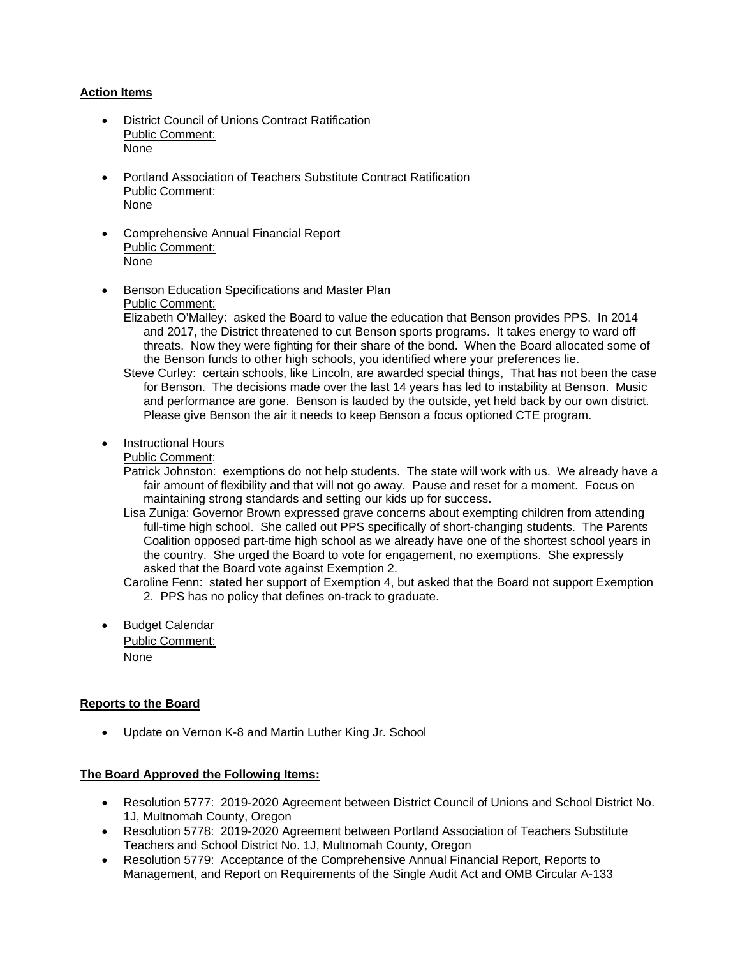#### **Action Items**

- District Council of Unions Contract Ratification Public Comment: None
- Portland Association of Teachers Substitute Contract Ratification Public Comment: None
- Comprehensive Annual Financial Report Public Comment: None
- Benson Education Specifications and Master Plan Public Comment:
	- Elizabeth O'Malley: asked the Board to value the education that Benson provides PPS. In 2014 and 2017, the District threatened to cut Benson sports programs. It takes energy to ward off threats. Now they were fighting for their share of the bond. When the Board allocated some of the Benson funds to other high schools, you identified where your preferences lie.
	- Steve Curley: certain schools, like Lincoln, are awarded special things, That has not been the case for Benson. The decisions made over the last 14 years has led to instability at Benson. Music and performance are gone. Benson is lauded by the outside, yet held back by our own district. Please give Benson the air it needs to keep Benson a focus optioned CTE program.
- Instructional Hours

Public Comment:

- Patrick Johnston: exemptions do not help students. The state will work with us. We already have a fair amount of flexibility and that will not go away. Pause and reset for a moment. Focus on maintaining strong standards and setting our kids up for success.
- Lisa Zuniga: Governor Brown expressed grave concerns about exempting children from attending full-time high school. She called out PPS specifically of short-changing students. The Parents Coalition opposed part-time high school as we already have one of the shortest school years in the country. She urged the Board to vote for engagement, no exemptions. She expressly asked that the Board vote against Exemption 2.

Caroline Fenn: stated her support of Exemption 4, but asked that the Board not support Exemption 2. PPS has no policy that defines on-track to graduate.

 Budget Calendar Public Comment: None

## **Reports to the Board**

Update on Vernon K-8 and Martin Luther King Jr. School

#### **The Board Approved the Following Items:**

- Resolution 5777: 2019-2020 Agreement between District Council of Unions and School District No. 1J, Multnomah County, Oregon
- Resolution 5778: 2019-2020 Agreement between Portland Association of Teachers Substitute Teachers and School District No. 1J, Multnomah County, Oregon
- Resolution 5779: Acceptance of the Comprehensive Annual Financial Report, Reports to Management, and Report on Requirements of the Single Audit Act and OMB Circular A-133